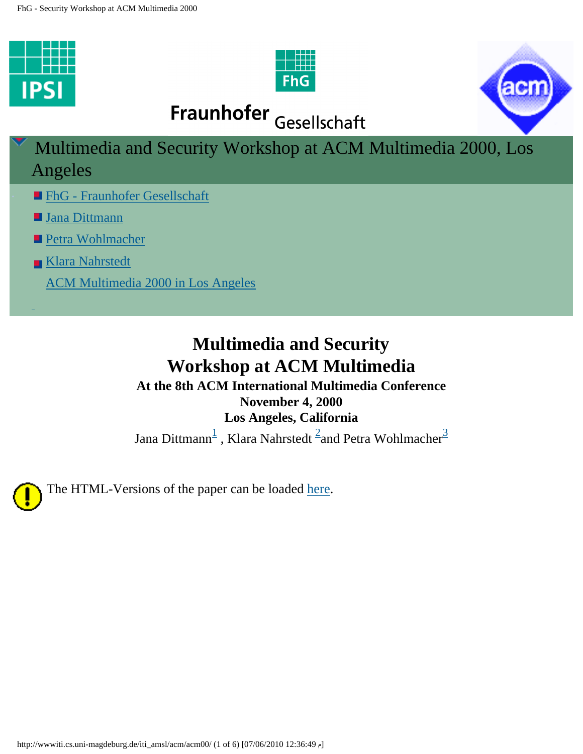<span id="page-0-0"></span>





Fraunhofer Gesellschaft

Multimedia and Security Workshop at ACM Multimedia 2000, Los Angeles

- **Eng Fraunhofer Gesellschaft**
- **[Jana Dittmann](mailto:%20dittmann@ipsi.fhg.de)**
- [Petra Wohlmacher](mailto: petra@ifi.uni-klu.ac.at)
- [Klara Nahrstedt](mailto: klara@nahrstedt.cs.uiuc.edu)
	- [ACM Multimedia 2000 in Los Angeles](http://www.acm.org/sigmm/MM2000/)

# **Multimedia and Security Workshop at ACM Multimedia At the 8th ACM International Multimedia Conference**

## **November 4, 2000**

#### **Los Angeles, California**

Jana Dittmann $^{\overline{1}}$  $^{\overline{1}}$  $^{\overline{1}}$  , Klara Nahrstedt  $^{\overline{2}}$ and Petra Wohlmacher $^{\overline{3}}$  $^{\overline{3}}$  $^{\overline{3}}$ 



The HTML-Versions of the paper can be loaded [here.](http://wwwiti.cs.uni-magdeburg.de/iti_amsl/acm/acm00/finals.zip)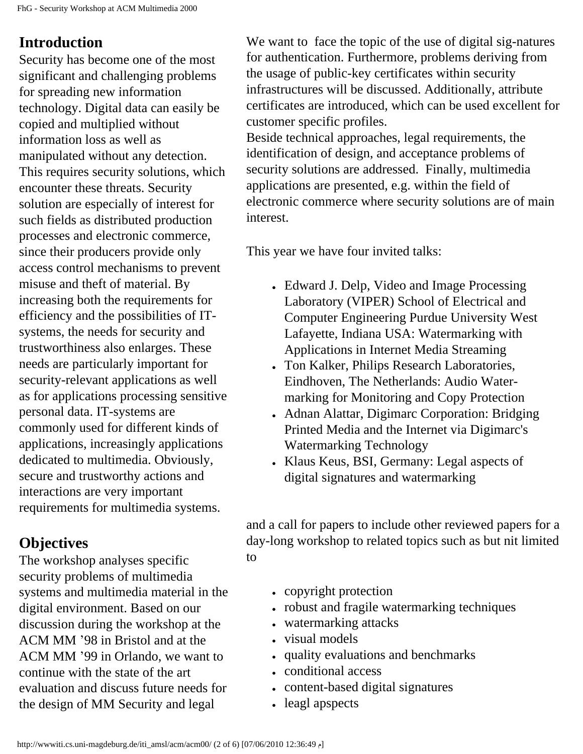## **Introduction**

Security has become one of the most significant and challenging problems for spreading new information technology. Digital data can easily be copied and multiplied without information loss as well as manipulated without any detection. This requires security solutions, which encounter these threats. Security solution are especially of interest for such fields as distributed production processes and electronic commerce, since their producers provide only access control mechanisms to prevent misuse and theft of material. By increasing both the requirements for efficiency and the possibilities of ITsystems, the needs for security and trustworthiness also enlarges. These needs are particularly important for security-relevant applications as well as for applications processing sensitive personal data. IT-systems are commonly used for different kinds of applications, increasingly applications dedicated to multimedia. Obviously, secure and trustworthy actions and interactions are very important requirements for multimedia systems.

## **Objectives**

The workshop analyses specific security problems of multimedia systems and multimedia material in the digital environment. Based on our discussion during the workshop at the ACM MM '98 in Bristol and at the ACM MM '99 in Orlando, we want to continue with the state of the art evaluation and discuss future needs for the design of MM Security and legal

We want to face the topic of the use of digital sig-natures for authentication. Furthermore, problems deriving from the usage of public-key certificates within security infrastructures will be discussed. Additionally, attribute certificates are introduced, which can be used excellent for customer specific profiles.

Beside technical approaches, legal requirements, the identification of design, and acceptance problems of security solutions are addressed. Finally, multimedia applications are presented, e.g. within the field of electronic commerce where security solutions are of main interest.

This year we have four invited talks:

- Edward J. Delp, Video and Image Processing Laboratory (VIPER) School of Electrical and Computer Engineering Purdue University West Lafayette, Indiana USA: Watermarking with Applications in Internet Media Streaming
- Ton Kalker, Philips Research Laboratories, Eindhoven, The Netherlands: Audio Watermarking for Monitoring and Copy Protection
- Adnan Alattar, Digimarc Corporation: Bridging Printed Media and the Internet via Digimarc's Watermarking Technology
- Klaus Keus, BSI, Germany: Legal aspects of digital signatures and watermarking

and a call for papers to include other reviewed papers for a day-long workshop to related topics such as but nit limited to

- copyright protection
- robust and fragile watermarking techniques
- watermarking attacks
- visual models
- quality evaluations and benchmarks
- conditional access
- content-based digital signatures
- leagl apspects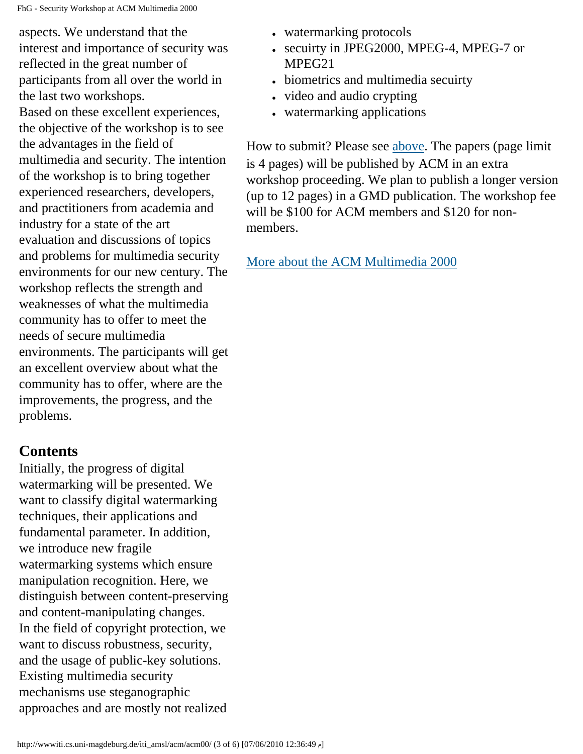aspects. We understand that the interest and importance of security was reflected in the great number of participants from all over the world in the last two workshops. Based on these excellent experiences, the objective of the workshop is to see the advantages in the field of multimedia and security. The intention of the workshop is to bring together experienced researchers, developers, and practitioners from academia and industry for a state of the art evaluation and discussions of topics and problems for multimedia security environments for our new century. The workshop reflects the strength and weaknesses of what the multimedia community has to offer to meet the needs of secure multimedia environments. The participants will get an excellent overview about what the community has to offer, where are the improvements, the progress, and the problems.

#### **Contents**

Initially, the progress of digital watermarking will be presented. We want to classify digital watermarking techniques, their applications and fundamental parameter. In addition, we introduce new fragile watermarking systems which ensure manipulation recognition. Here, we distinguish between content-preserving and content-manipulating changes. In the field of copyright protection, we want to discuss robustness, security, and the usage of public-key solutions. Existing multimedia security mechanisms use steganographic approaches and are mostly not realized

- watermarking protocols
- secuirty in JPEG2000, MPEG-4, MPEG-7 or MPEG21
- biometrics and multimedia secuirty
- video and audio crypting
- watermarking applications

How to submit? Please see [above.](#page-0-0) The papers (page limit is 4 pages) will be published by ACM in an extra workshop proceeding. We plan to publish a longer version (up to 12 pages) in a GMD publication. The workshop fee will be \$100 for ACM members and \$120 for nonmembers.

[More about the ACM Multimedia 2000](http://www.acm.org/sigmm/MM2000/)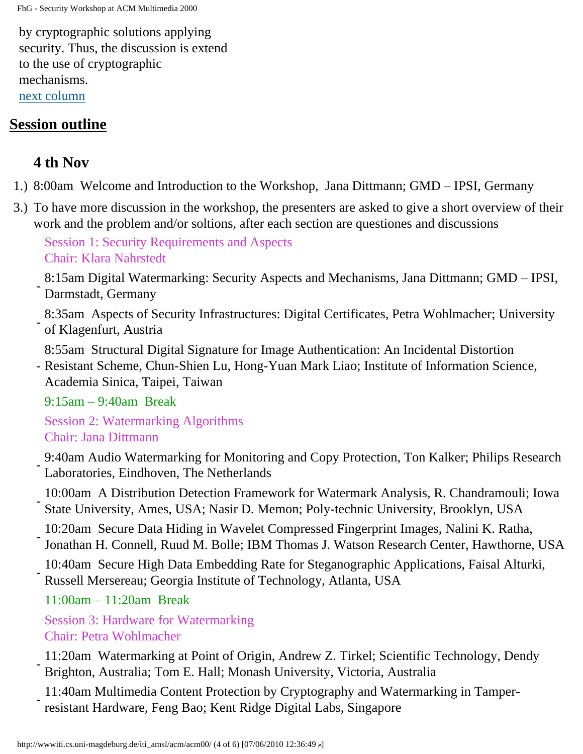by cryptographic solutions applying security. Thus, the discussion is extend to the use of cryptographic mechanisms. [next column](#page-3-0)

#### <span id="page-3-0"></span>**Session outline**

### **4 th Nov**

- 1.) 8:00am Welcome and Introduction to the Workshop, Jana Dittmann; GMD IPSI, Germany
- 3.) To have more discussion in the workshop, the presenters are asked to give a short overview of their work and the problem and/or soltions, after each section are questiones and discussions

Session 1: Security Requirements and Aspects Chair: Klara Nahrstedt

- 8:15am Digital Watermarking: Security Aspects and Mechanisms, Jana Dittmann; GMD – IPSI, Darmstadt, Germany

- 8:35am Aspects of Security Infrastructures: Digital Certificates, Petra Wohlmacher; University of Klagenfurt, Austria

8:55am Structural Digital Signature for Image Authentication: An Incidental Distortion

- Resistant Scheme, Chun-Shien Lu, Hong-Yuan Mark Liao; Institute of Information Science, Academia Sinica, Taipei, Taiwan

9:15am – 9:40am Break

Session 2: Watermarking Algorithms Chair: Jana Dittmann

- 9:40am Audio Watermarking for Monitoring and Copy Protection, Ton Kalker; Philips Research Laboratories, Eindhoven, The Netherlands

- 10:00am A Distribution Detection Framework for Watermark Analysis, R. Chandramouli; Iowa State University, Ames, USA; Nasir D. Memon; Poly-technic University, Brooklyn, USA

- 10:20am Secure Data Hiding in Wavelet Compressed Fingerprint Images, Nalini K. Ratha, Jonathan H. Connell, Ruud M. Bolle; IBM Thomas J. Watson Research Center, Hawthorne, USA

- 10:40am Secure High Data Embedding Rate for Steganographic Applications, Faisal Alturki, Russell Mersereau; Georgia Institute of Technology, Atlanta, USA

11:00am – 11:20am Break

Session 3: Hardware for Watermarking Chair: Petra Wohlmacher

- 11:20am Watermarking at Point of Origin, Andrew Z. Tirkel; Scientific Technology, Dendy Brighton, Australia; Tom E. Hall; Monash University, Victoria, Australia

- 11:40am Multimedia Content Protection by Cryptography and Watermarking in Tamperresistant Hardware, Feng Bao; Kent Ridge Digital Labs, Singapore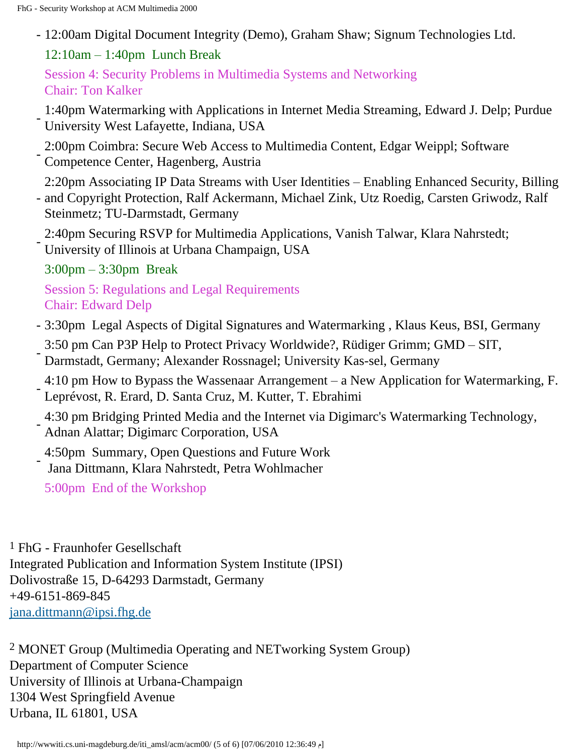- 12:00am Digital Document Integrity (Demo), Graham Shaw; Signum Technologies Ltd.
	- 12:10am 1:40pm Lunch Break

Session 4: Security Problems in Multimedia Systems and Networking Chair: Ton Kalker

- 1:40pm Watermarking with Applications in Internet Media Streaming, Edward J. Delp; Purdue University West Lafayette, Indiana, USA

- 2:00pm Coimbra: Secure Web Access to Multimedia Content, Edgar Weippl; Software Competence Center, Hagenberg, Austria

2:20pm Associating IP Data Streams with User Identities – Enabling Enhanced Security, Billing

- and Copyright Protection, Ralf Ackermann, Michael Zink, Utz Roedig, Carsten Griwodz, Ralf Steinmetz; TU-Darmstadt, Germany
- 2:40pm Securing RSVP for Multimedia Applications, Vanish Talwar, Klara Nahrstedt; University of Illinois at Urbana Champaign, USA

3:00pm – 3:30pm Break

Session 5: Regulations and Legal Requirements Chair: Edward Delp

- 3:30pm Legal Aspects of Digital Signatures and Watermarking , Klaus Keus, BSI, Germany
- 3:50 pm Can P3P Help to Protect Privacy Worldwide?, Rüdiger Grimm; GMD SIT, Darmstadt, Germany; Alexander Rossnagel; University Kas-sel, Germany
- 4:10 pm How to Bypass the Wassenaar Arrangement a New Application for Watermarking, F. Leprévost, R. Erard, D. Santa Cruz, M. Kutter, T. Ebrahimi
- 4:30 pm Bridging Printed Media and the Internet via Digimarc's Watermarking Technology,
- Adnan Alattar; Digimarc Corporation, USA
- 4:50pm Summary, Open Questions and Future Work
- Jana Dittmann, Klara Nahrstedt, Petra Wohlmacher
- 5:00pm End of the Workshop

<span id="page-4-0"></span>1 FhG - Fraunhofer Gesellschaft Integrated Publication and Information System Institute (IPSI) Dolivostraße 15, D-64293 Darmstadt, Germany +49-6151-869-845 [jana.dittmann@ipsi.fhg.de](mailto:%20dittmann@ipsi.fhg.de? subject =)

<span id="page-4-1"></span>2 MONET Group (Multimedia Operating and NETworking System Group) Department of Computer Science University of Illinois at Urbana-Champaign 1304 West Springfield Avenue Urbana, IL 61801, USA